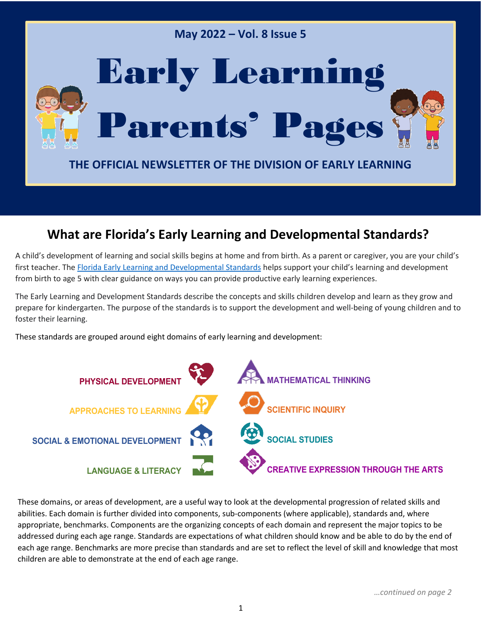

### **What are Florida's Early Learning and Developmental Standards?**

A child's development of learning and social skills begins at home and from birth. As a parent or caregiver, you are your child's first teacher. [The Florida Early Learning and Developmental Standards](http://flbt5.floridaearlylearning.com/) helps support your child's learning and development from birth to age 5 with clear guidance on ways you can provide productive early learning experiences.

The Early Learning and Development Standards describe the concepts and skills children develop and learn as they grow and prepare for kindergarten. The purpose of the standards is to support the development and well-being of young children and to foster their learning.

These standards are grouped around eight domains of early learning and development:



These domains, or areas of development, are a useful way to look at the developmental progression of related skills and abilities. Each domain is further divided into components, sub-components (where applicable), standards and, where appropriate, benchmarks. Components are the organizing concepts of each domain and represent the major topics to be addressed during each age range. Standards are expectations of what children should know and be able to do by the end of each age range. Benchmarks are more precise than standards and are set to reflect the level of skill and knowledge that most children are able to demonstrate at the end of each age range.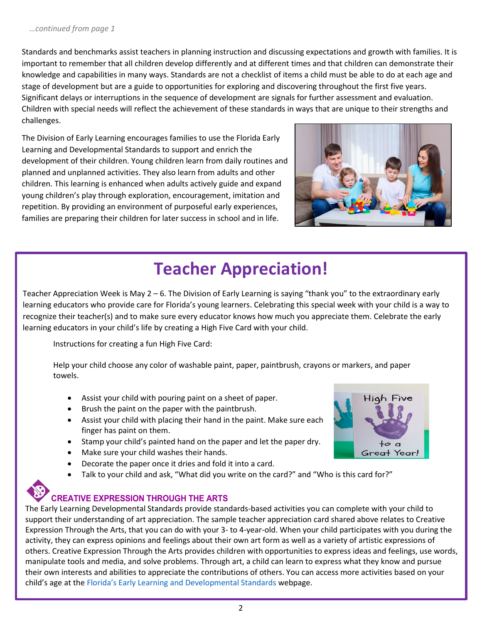Standards and benchmarks assist teachers in planning instruction and discussing expectations and growth with families. It is important to remember that all children develop differently and at different times and that children can demonstrate their knowledge and capabilities in many ways. Standards are not a checklist of items a child must be able to do at each age and stage of development but are a guide to opportunities for exploring and discovering throughout the first five years. Significant delays or interruptions in the sequence of development are signals for further assessment and evaluation. Children with special needs will reflect the achievement of these standards in ways that are unique to their strengths and challenges.

The Division of Early Learning encourages families to use the Florida Early Learning and Developmental Standards to support and enrich the development of their children. Young children learn from daily routines and planned and unplanned activities. They also learn from adults and other children. This learning is enhanced when adults actively guide and expand young children's play through exploration, encouragement, imitation and repetition. By providing an environment of purposeful early experiences, families are preparing their children for later success in school and in life.



## **Teacher Appreciation!**

Teacher Appreciation Week is May 2 – 6. The Division of Early Learning is saying "thank you" to the extraordinary early learning educators who provide care for Florida's young learners. Celebrating this special week with your child is a way to recognize their teacher(s) and to make sure every educator knows how much you appreciate them. Celebrate the early learning educators in your child's life by creating a High Five Card with your child.

Instructions for creating a fun High Five Card:

Help your child choose any color of washable paint, paper, paintbrush, crayons or markers, and paper towels.

- Assist your child with pouring paint on a sheet of paper.
- Brush the paint on the paper with the paintbrush.
- Assist your child with placing their hand in the paint. Make sure each finger has paint on them.
- Stamp your child's painted hand on the paper and let the paper dry.
- Make sure your child washes their hands.
- Decorate the paper once it dries and fold it into a card.
- Talk to your child and ask, "What did you write on the card?" and "Who is this card for?"



#### **CREATIVE EXPRESSION THROUGH THE ARTS**

The Early Learning Developmental Standards provide standards-based activities you can complete with your child to support their understanding of art appreciation. The sample teacher appreciation card shared above relates to Creative Expression Through the Arts, that you can do with your 3- to 4-year-old. When your child participates with you during the activity, they can express opinions and feelings about their own art form as well as a variety of artistic expressions of others. Creative Expression Through the Arts provides children with opportunities to express ideas and feelings, use words, manipulate tools and media, and solve problems. Through art, a child can learn to express what they know and pursue their own interests and abilities to appreciate the contributions of others. You can access more activities based on your child's age at [the](http://flbt5.floridaearlylearning.com/) [Florida's Early Learning and Developmental Standards](http://flbt5.floridaearlylearning.com/) webpage.

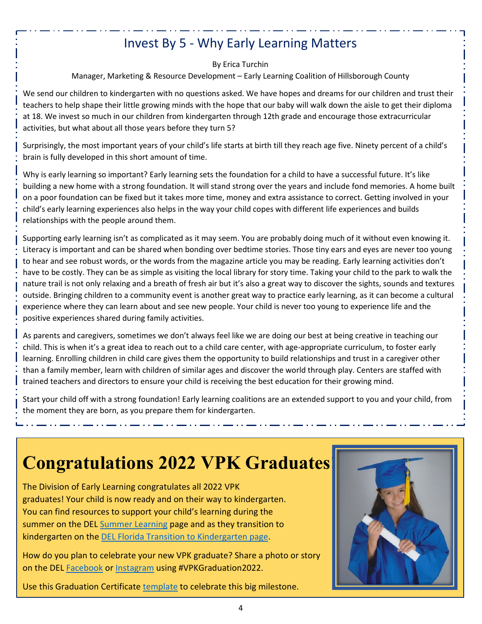## Invest By 5 - Why Early Learning Matters

By Erica Turchin

Manager, Marketing & Resource Development – Early Learning Coalition of Hillsborough County

We send our children to kindergarten with no questions asked. We have hopes and dreams for our children and trust their teachers to help shape their little growing minds with the hope that our baby will walk down the aisle to get their diploma at 18. We invest so much in our children from kindergarten through 12th grade and encourage those extracurricular activities, but what about all those years before they turn 5?

Surprisingly, the most important years of your child's life starts at birth till they reach age five. Ninety percent of a child's brain is fully developed in this short amount of time.

Why is early learning so important? Early learning sets the foundation for a child to have a successful future. It's like building a new home with a strong foundation. It will stand strong over the years and include fond memories. A home built on a poor foundation can be fixed but it takes more time, money and extra assistance to correct. Getting involved in your child's early learning experiences also helps in the way your child copes with different life experiences and builds relationships with the people around them.

Supporting early learning isn't as complicated as it may seem. You are probably doing much of it without even knowing it. Literacy is important and can be shared when bonding over bedtime stories. Those tiny ears and eyes are never too young to hear and see robust words, or the words from the magazine article you may be reading. Early learning activities don't have to be costly. They can be as simple as visiting the local library for story time. Taking your child to the park to walk the nature trail is not only relaxing and a breath of fresh air but it's also a great way to discover the sights, sounds and textures outside. Bringing children to a community event is another great way to practice early learning, as it can become a cultural experience where they can learn about and see new people. Your child is never too young to experience life and the positive experiences shared during family activities.

As parents and caregivers, sometimes we don't always feel like we are doing our best at being creative in teaching our child. This is when it's a great idea to reach out to a child care center, with age-appropriate curriculum, to foster early learning. Enrolling children in child care gives them the opportunity to build relationships and trust in a caregiver other than a family member, learn with children of similar ages and discover the world through play. Centers are staffed with trained teachers and directors to ensure your child is receiving the best education for their growing mind.

Start your child off with a strong foundation! Early learning coalitions are an extended support to you and your child, from the moment they are born, as you prepare them for kindergarten.

# **Congratulations 2022 VPK Graduates**

The Division of Early Learning congratulates all 2022 VPK graduates! Your child is now ready and on their way to kindergarten. You can find resources to support your child's learning during the summer on the DEL [Summer Learning](http://www.floridaearlylearning.com/parents/family-resources/summer-learning) page and as they transition to kindergarten on the [DEL Florida Transition to Kindergarten page.](http://www.floridaearlylearning.com/vpk/transition-to-kindergarten)

How do you plan to celebrate your new VPK graduate? Share a photo or story on the DEL [Facebook](https://www.facebook.com/floridaearlylearning/) o[r Instagram](https://www.instagram.com/accounts/login/?next=/flearlylearning/) using #VPKGraduation2022.



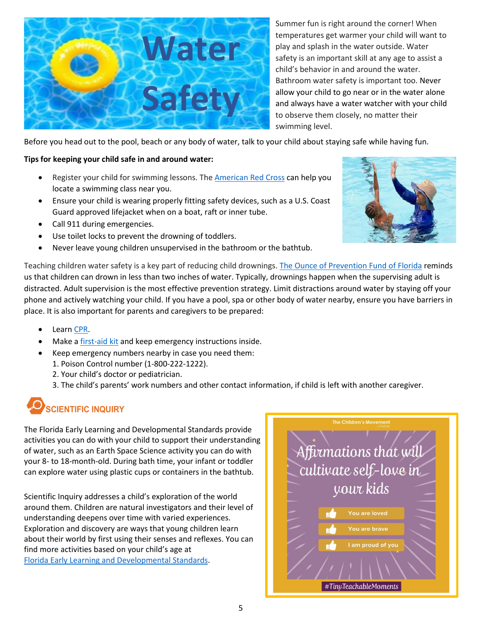

Summer fun is right around the corner! When temperatures get warmer your child will want to play and splash in the water outside. Water safety is an important skill at any age to assist a child's behavior in and around the water. Bathroom water safety is important too. Never allow your child to go near or in the water alone and always have a water watcher with your child to observe them closely, no matter their swimming level.

Before you head out to the pool, beach or any body of water, talk to your child about staying safe while having fun.

#### **Tips for keeping your child safe in and around water:**

- Register your child for swimming lessons. The **American Red Cross can help you** locate a swimming class near you.
- Ensure your child is wearing properly fitting safety devices, such as a U.S. Coast Guard approved lifejacket when on a boat, raft or inner tube.
- Call 911 during emergencies.
- Use toilet locks to prevent the drowning of toddlers.
- Never leave young children unsupervised in the bathroom or the bathtub.



Teaching children water safety is a key part of reducing child drownings. [The Ounce of Prevention Fund of Florida](https://www.ounce.org/water_safety.html) reminds us that children can drown in less than two inches of water. Typically, drownings happen when the supervising adult is distracted. Adult supervision is the most effective prevention strategy. Limit distractions around water by staying off your phone and actively watching your child. If you have a pool, spa or other body of water nearby, ensure you have barriers in place. It is also important for parents and caregivers to be prepared:

- Learn [CPR.](https://kidshealth.org/en/parents/cpr.html)
- Make a [first-aid](https://kidshealth.org/en/parents/firstaid-kit.html) kit and keep emergency instructions inside.
- Keep emergency numbers nearby in case you need them:
	- 1. Poison Control number (1-800-222-1222).
	- 2. Your child's doctor or pediatrician.
	- 3. The child's parents' work numbers and other contact information, if child is left with another caregiver.

## **SCIENTIFIC INQUIRY**

The Florida Early Learning and Developmental Standards provide activities you can do with your child to support their understanding of water, such as an Earth Space Science activity you can do with your 8- to 18-month-old. During bath time, your infant or toddler can explore water using plastic cups or containers in the bathtub.

Scientific Inquiry addresses a child's exploration of the world around them. Children are natural investigators and their level of understanding deepens over time with varied experiences. Exploration and discovery are ways that young children learn about their world by first using their senses and reflexes. You can find more activities based on your child's age at [Florida Early Learning and Developmental Standards.](http://flbt5.floridaearlylearning.com/)